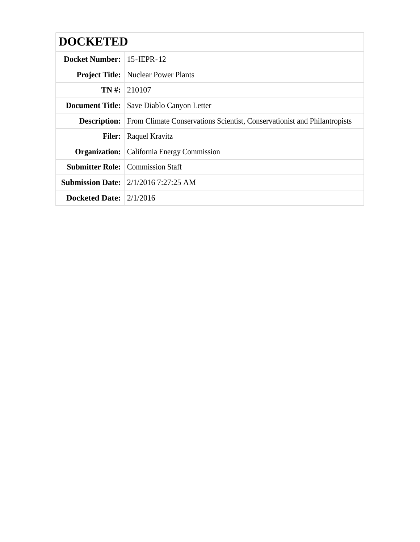| <b>DOCKETED</b>                   |                                                                                               |
|-----------------------------------|-----------------------------------------------------------------------------------------------|
| Docket Number: $\vert$ 15-IEPR-12 |                                                                                               |
|                                   | <b>Project Title:</b> Nuclear Power Plants                                                    |
|                                   | $TN \#$ : 210107                                                                              |
|                                   | <b>Document Title:</b> Save Diablo Canyon Letter                                              |
|                                   | <b>Description:</b> From Climate Conservations Scientist, Conservation ist and Philantropists |
| <b>Filer:</b>                     | Raquel Kravitz                                                                                |
|                                   | <b>Organization:</b> California Energy Commission                                             |
|                                   | <b>Submitter Role:</b> Commission Staff                                                       |
|                                   | <b>Submission Date:</b> 2/1/2016 7:27:25 AM                                                   |
| Docketed Date: $2/1/2016$         |                                                                                               |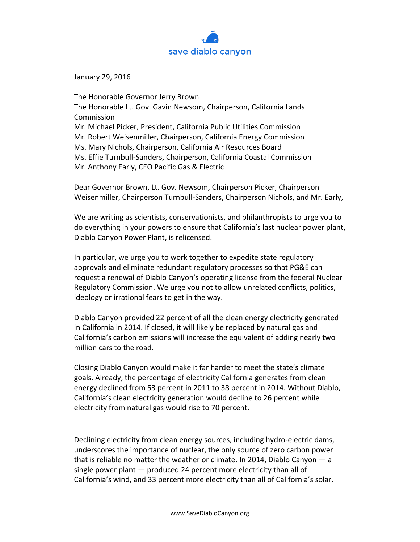

January 29, 2016

The Honorable Governor Jerry Brown The Honorable Lt. Gov. Gavin Newsom, Chairperson, California Lands Commission Mr. Michael Picker, President, California Public Utilities Commission Mr. Robert Weisenmiller, Chairperson, California Energy Commission Ms. Mary Nichols, Chairperson, California Air Resources Board Ms. Effie Turnbull-Sanders, Chairperson, California Coastal Commission Mr. Anthony Early, CEO Pacific Gas & Electric

Dear Governor Brown, Lt. Gov. Newsom, Chairperson Picker, Chairperson Weisenmiller, Chairperson Turnbull-Sanders, Chairperson Nichols, and Mr. Early,

We are writing as scientists, conservationists, and philanthropists to urge you to do everything in your powers to ensure that California's last nuclear power plant, Diablo Canyon Power Plant, is relicensed.

In particular, we urge you to work together to expedite state regulatory approvals and eliminate redundant regulatory processes so that PG&E can request a renewal of Diablo Canyon's operating license from the federal Nuclear Regulatory Commission. We urge you not to allow unrelated conflicts, politics, ideology or irrational fears to get in the way.

Diablo Canyon provided 22 percent of all the clean energy electricity generated in California in 2014. If closed, it will likely be replaced by natural gas and California's carbon emissions will increase the equivalent of adding nearly two million cars to the road.

Closing Diablo Canyon would make it far harder to meet the state's climate goals. Already, the percentage of electricity California generates from clean energy declined from 53 percent in 2011 to 38 percent in 2014. Without Diablo, California's clean electricity generation would decline to 26 percent while electricity from natural gas would rise to 70 percent.

Declining electricity from clean energy sources, including hydro-electric dams, underscores the importance of nuclear, the only source of zero carbon power that is reliable no matter the weather or climate. In 2014, Diablo Canyon — a single power plant — produced 24 percent more electricity than all of California's wind, and 33 percent more electricity than all of California's solar.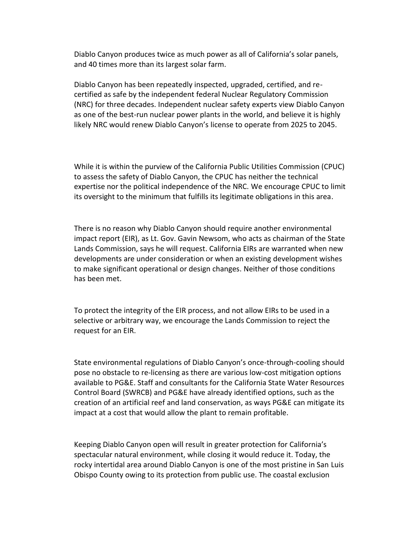Diablo Canyon produces twice as much power as all of California's solar panels, and 40 times more than its largest solar farm.

Diablo Canyon has been repeatedly inspected, upgraded, certified, and recertified as safe by the independent federal Nuclear Regulatory Commission (NRC) for three decades. Independent nuclear safety experts view Diablo Canyon as one of the best-run nuclear power plants in the world, and believe it is highly likely NRC would renew Diablo Canyon's license to operate from 2025 to 2045.

While it is within the purview of the California Public Utilities Commission (CPUC) to assess the safety of Diablo Canyon, the CPUC has neither the technical expertise nor the political independence of the NRC. We encourage CPUC to limit its oversight to the minimum that fulfills its legitimate obligations in this area.

There is no reason why Diablo Canyon should require another environmental impact report (EIR), as Lt. Gov. Gavin Newsom, who acts as chairman of the State Lands Commission, says he will request. California EIRs are warranted when new developments are under consideration or when an existing development wishes to make significant operational or design changes. Neither of those conditions has been met.

To protect the integrity of the EIR process, and not allow EIRs to be used in a selective or arbitrary way, we encourage the Lands Commission to reject the request for an EIR.

State environmental regulations of Diablo Canyon's once-through-cooling should pose no obstacle to re-licensing as there are various low-cost mitigation options available to PG&E. Staff and consultants for the California State Water Resources Control Board (SWRCB) and PG&E have already identified options, such as the creation of an artificial reef and land conservation, as ways PG&E can mitigate its impact at a cost that would allow the plant to remain profitable.

Keeping Diablo Canyon open will result in greater protection for California's spectacular natural environment, while closing it would reduce it. Today, the rocky intertidal area around Diablo Canyon is one of the most pristine in San Luis Obispo County owing to its protection from public use. The coastal exclusion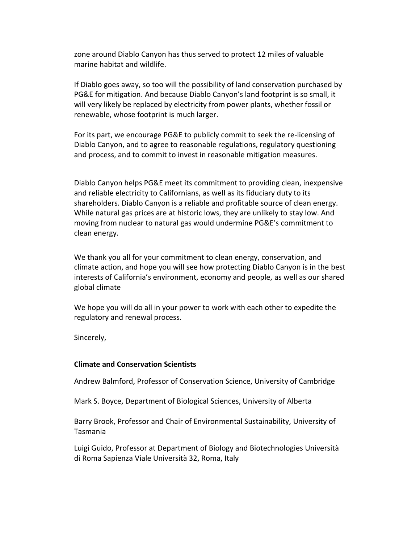zone around Diablo Canyon has thus served to protect 12 miles of valuable marine habitat and wildlife.

If Diablo goes away, so too will the possibility of land conservation purchased by PG&E for mitigation. And because Diablo Canyon's land footprint is so small, it will very likely be replaced by electricity from power plants, whether fossil or renewable, whose footprint is much larger.

For its part, we encourage PG&E to publicly commit to seek the re-licensing of Diablo Canyon, and to agree to reasonable regulations, regulatory questioning and process, and to commit to invest in reasonable mitigation measures.

Diablo Canyon helps PG&E meet its commitment to providing clean, inexpensive and reliable electricity to Californians, as well as its fiduciary duty to its shareholders. Diablo Canyon is a reliable and profitable source of clean energy. While natural gas prices are at historic lows, they are unlikely to stay low. And moving from nuclear to natural gas would undermine PG&E's commitment to clean energy.

We thank you all for your commitment to clean energy, conservation, and climate action, and hope you will see how protecting Diablo Canyon is in the best interests of California's environment, economy and people, as well as our shared global climate

We hope you will do all in your power to work with each other to expedite the regulatory and renewal process.

Sincerely,

## **Climate and Conservation Scientists**

Andrew Balmford, Professor of Conservation Science, University of Cambridge

Mark S. Boyce, Department of Biological Sciences, University of Alberta

Barry Brook, Professor and Chair of Environmental Sustainability, [University of](https://en.wikipedia.org/wiki/University_of_Tasmania)  [Tasmania](https://en.wikipedia.org/wiki/University_of_Tasmania)

Luigi Guido, Professor at Department of Biology and Biotechnologies Università di Roma Sapienza Viale Università 32, Roma, Italy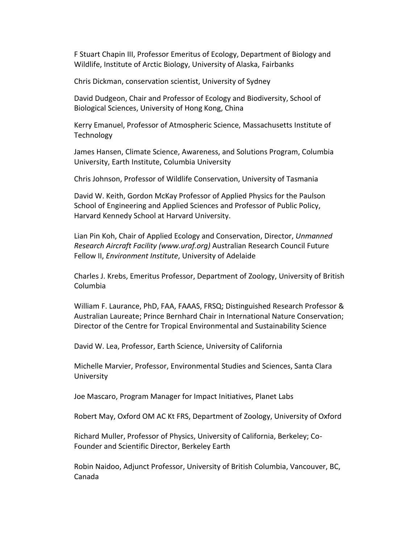F Stuart Chapin III, Professor Emeritus of Ecology, Department of Biology and Wildlife, Institute of Arctic Biology, University of Alaska, Fairbanks

Chris Dickman, conservation scientist, University of Sydney

David Dudgeon, Chair and Professor of Ecology and Biodiversity, School of Biological Sciences, University of Hong Kong, China

Kerry Emanuel, Professor of Atmospheric Science, Massachusetts Institute of **Technology** 

James Hansen, Climate Science, Awareness, and Solutions Program, Columbia University, Earth Institute, Columbia University

Chris Johnson, Professor of Wildlife Conservation, University of Tasmania

David W. Keith, Gordon McKay Professor of Applied Physics for the Paulson School of Engineering and Applied Sciences and Professor of Public Policy, Harvard Kennedy School at Harvard University.

Lian Pin Koh, Chair of Applied Ecology and Conservation, Director, *[Unmanned](http://uraf.org/)  [Research Aircraft Facility](http://uraf.org/) [\(www.uraf.org\)](http://uraf.org/)* Australian Research Council Future Fellow II, *[Environment Institute](http://www.adelaide.edu.au/environment/about/)*, University of Adelaide

Charles J. Krebs, Emeritus Professor, Department of Zoology, University of British Columbia

William F. Laurance, PhD, FAA, FAAAS, FRSQ; Distinguished Research Professor & Australian Laureate; Prince Bernhard Chair in International Nature Conservation; Director of the Centre for Tropical Environmental and Sustainability Science

David W. Lea, Professor, Earth Science, University of California

Michelle Marvier, Professor, Environmental Studies and Sciences, Santa Clara **University** 

Joe Mascaro, Program Manager for Impact Initiatives, Planet Labs

Robert May, Oxford OM AC Kt FRS, Department of Zoology, University of Oxford

Richard Muller, Professor of Physics, University of California, Berkeley; Co-Founder and Scientific Director, Berkeley Earth

Robin Naidoo, Adjunct Professor, University of British Columbia, Vancouver, BC, Canada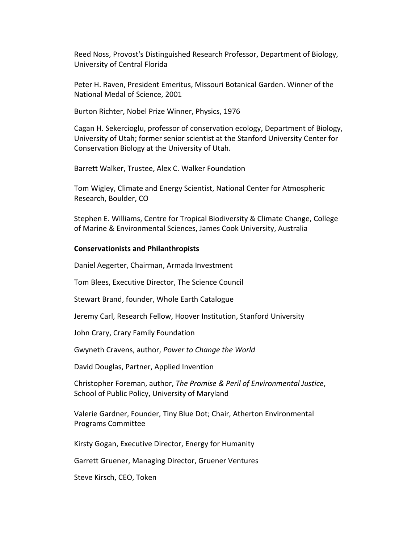Reed Noss, Provost's Distinguished Research Professor, Department of Biology, University of Central Florida

Peter H. Raven, President Emeritus, Missouri Botanical Garden. Winner of the National Medal of Science, 2001

Burton Richter, Nobel Prize Winner, Physics, 1976

Cagan H. Sekercioglu, professor of conservation ecology, Department of Biology, University of Utah; former senior scientist at the Stanford University Center for Conservation Biology at the University of Utah.

Barrett Walker, Trustee, Alex C. Walker Foundation

Tom Wigley, Climate and Energy Scientist, National Center for Atmospheric Research, Boulder, CO

Stephen E. Williams, Centre for Tropical Biodiversity & Climate Change, College of Marine & Environmental Sciences, James Cook University, Australia

## **Conservationists and Philanthropists**

Daniel Aegerter, Chairman, Armada Investment

Tom Blees, Executive Director, The Science Council

Stewart Brand, founder, Whole Earth Catalogue

Jeremy Carl, Research Fellow, Hoover Institution, Stanford University

John Crary, Crary Family Foundation

Gwyneth Cravens, author, *Power to Change the World*

David Douglas, Partner, Applied Invention

Christopher Foreman, author, *The Promise & Peril of Environmental Justice*, School of Public Policy, University of Maryland

Valerie Gardner, Founder, Tiny Blue Dot; Chair, Atherton Environmental Programs Committee

Kirsty Gogan, Executive Director, Energy for Humanity

Garrett Gruener, Managing Director, Gruener Ventures

Steve Kirsch, CEO, Token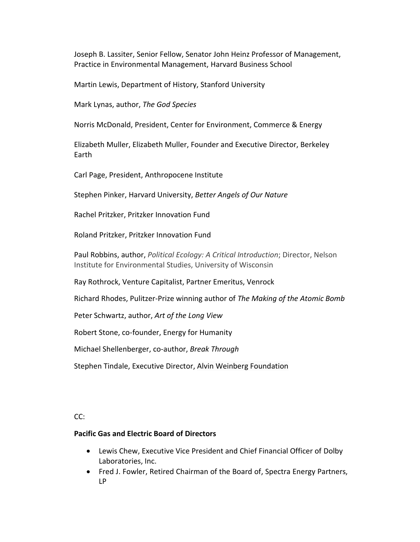Joseph B. Lassiter, Senior Fellow, Senator John Heinz Professor of Management, Practice in Environmental Management, Harvard Business School

Martin Lewis, Department of History, Stanford University

Mark Lynas, author, *The God Species*

Norris McDonald, President, Center for Environment, Commerce & Energy

Elizabeth Muller, Elizabeth Muller, Founder and Executive Director, Berkeley Earth

Carl Page, President, Anthropocene Institute

Stephen Pinker, Harvard University, *Better Angels of Our Nature*

Rachel Pritzker, Pritzker Innovation Fund

Roland Pritzker, Pritzker Innovation Fund

Paul Robbins, author, *Political Ecology: A Critical Introduction*; Director, Nelson Institute for Environmental Studies, University of Wisconsin

Ray Rothrock, Venture Capitalist, Partner Emeritus, Venrock

Richard Rhodes, Pulitzer-Prize winning author of *The Making of the Atomic Bomb*

Peter Schwartz, author, *Art of the Long View*

Robert Stone, co-founder, Energy for Humanity

Michael Shellenberger, co-author, *Break Through*

Stephen Tindale, Executive Director, Alvin Weinberg Foundation

CC:

## **Pacific Gas and Electric Board of Directors**

- [Lewis Chew,](http://www.pgecorp.com/aboutus/corp_gov/directors/LChew.shtml) Executive Vice President and Chief Financial Officer of Dolby Laboratories, Inc.
- [Fred J. Fowler,](http://www.pgecorp.com/aboutus/corp_gov/directors/FJFowler.shtml) Retired Chairman of the Board of, Spectra Energy Partners, LP